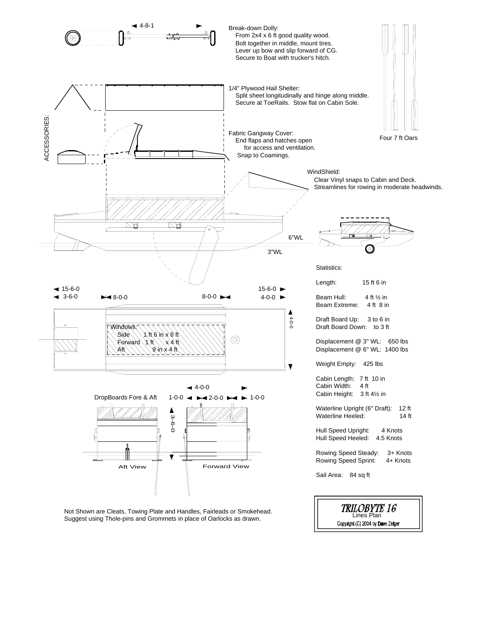

Copyright (C) 2004 by Dave Zeiger

Not Shown are Cleats, Towing Plate and Handles, Fairleads or Smokehead. Suggest using Thole-pins and Grommets in place of Oarlocks as drawn.